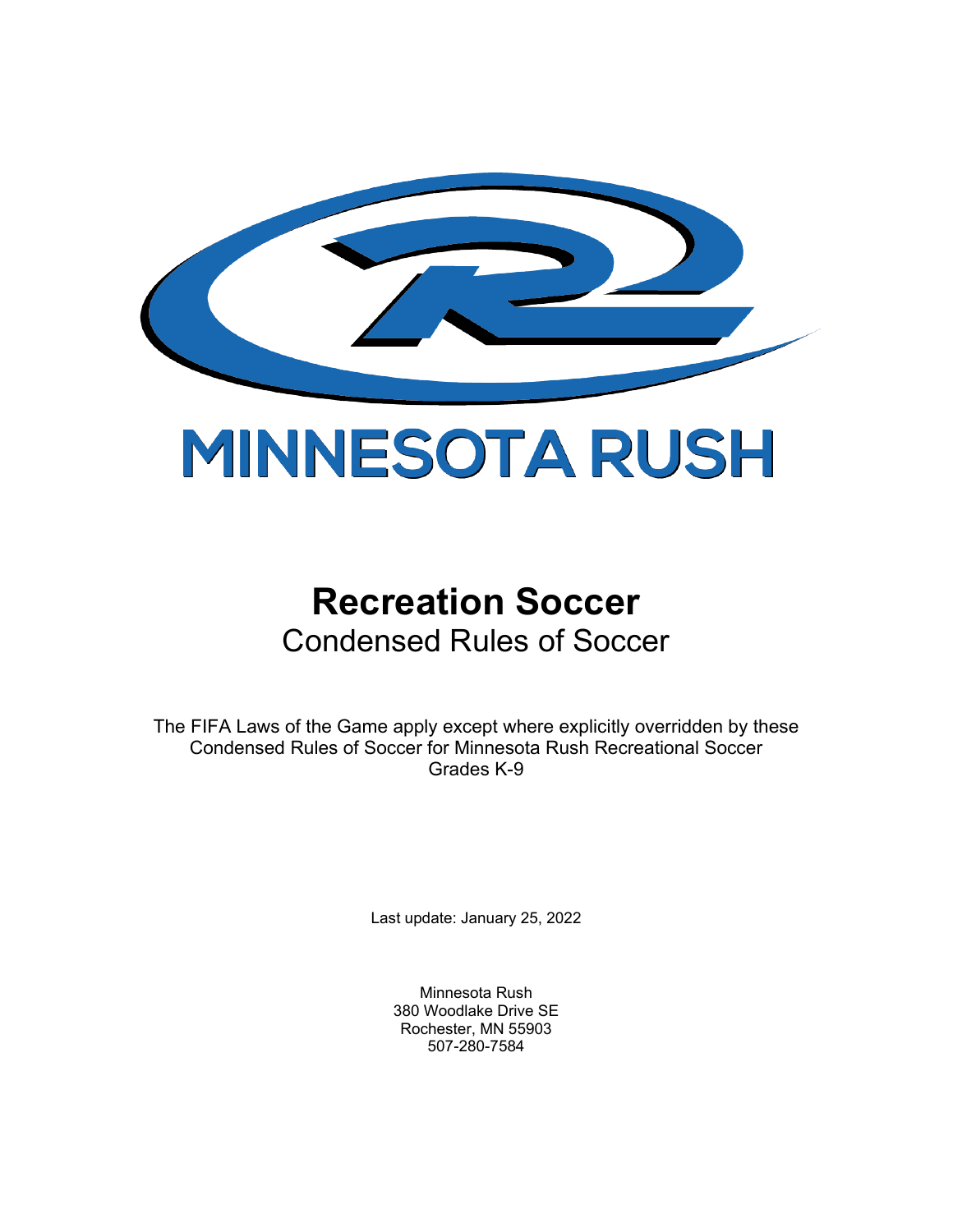

# **Recreation Soccer** Condensed Rules of Soccer

The FIFA Laws of the Game apply except where explicitly overridden by these Condensed Rules of Soccer for Minnesota Rush Recreational Soccer Grades K-9

Last update: January 25, 2022

Minnesota Rush 380 Woodlake Drive SE Rochester, MN 55903 507-280-7584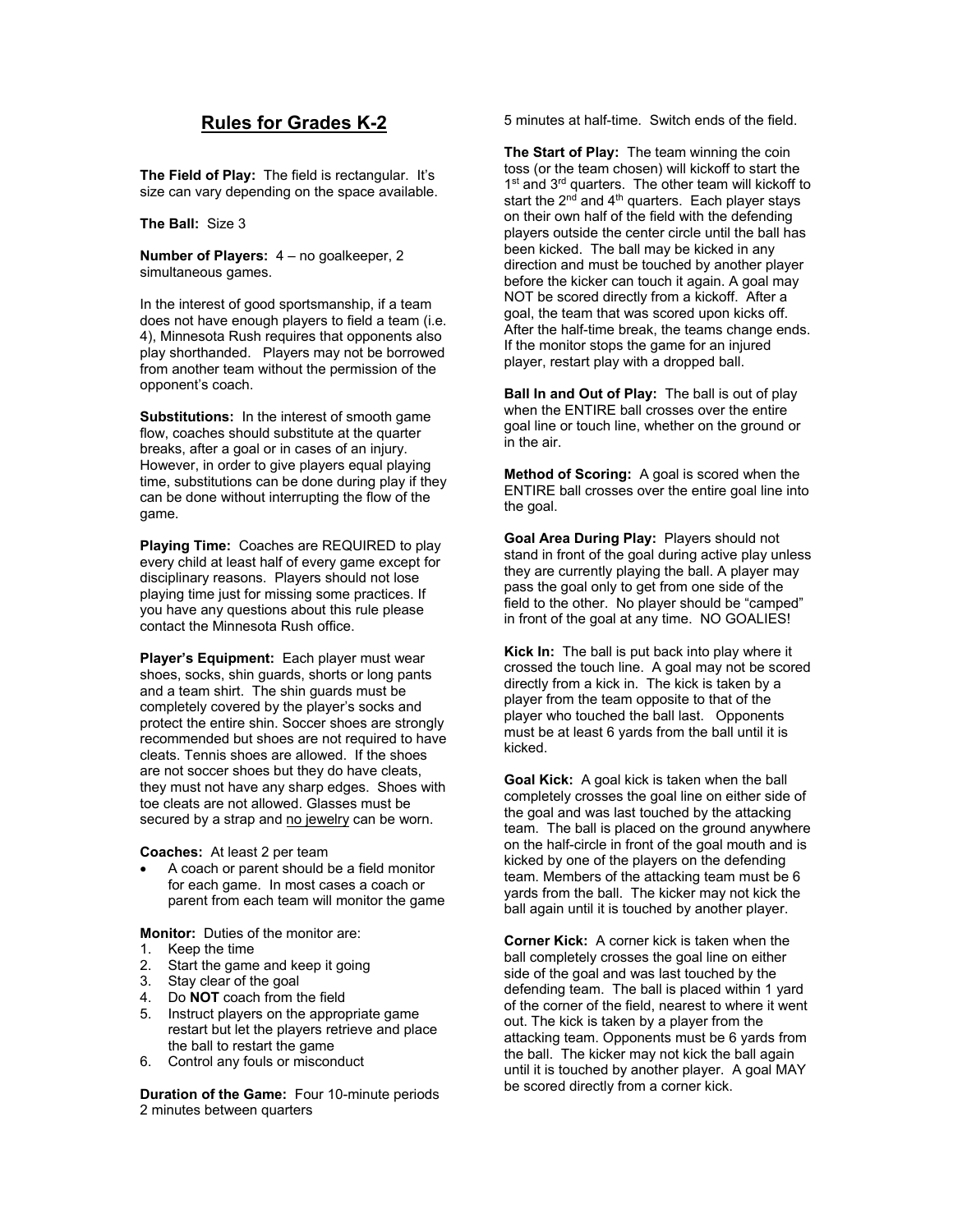## **Rules for Grades K-2**

**The Field of Play:** The field is rectangular. It's size can vary depending on the space available.

#### **The Ball:** Size 3

**Number of Players:** 4 – no goalkeeper, 2 simultaneous games.

In the interest of good sportsmanship, if a team does not have enough players to field a team (i.e. 4), Minnesota Rush requires that opponents also play shorthanded. Players may not be borrowed from another team without the permission of the opponent's coach.

**Substitutions:** In the interest of smooth game flow, coaches should substitute at the quarter breaks, after a goal or in cases of an injury. However, in order to give players equal playing time, substitutions can be done during play if they can be done without interrupting the flow of the game.

**Playing Time:** Coaches are REQUIRED to play every child at least half of every game except for disciplinary reasons. Players should not lose playing time just for missing some practices. If you have any questions about this rule please contact the Minnesota Rush office.

**Player's Equipment:** Each player must wear shoes, socks, shin guards, shorts or long pants and a team shirt. The shin guards must be completely covered by the player's socks and protect the entire shin. Soccer shoes are strongly recommended but shoes are not required to have cleats. Tennis shoes are allowed. If the shoes are not soccer shoes but they do have cleats, they must not have any sharp edges. Shoes with toe cleats are not allowed. Glasses must be secured by a strap and no jewelry can be worn.

**Coaches:** At least 2 per team

• A coach or parent should be a field monitor for each game. In most cases a coach or parent from each team will monitor the game

**Monitor:** Duties of the monitor are:

- 1. Keep the time
- 2. Start the game and keep it going
- 3. Stay clear of the goal
- 4. Do **NOT** coach from the field
- 5. Instruct players on the appropriate game restart but let the players retrieve and place the ball to restart the game
- 6. Control any fouls or misconduct

**Duration of the Game:** Four 10-minute periods 2 minutes between quarters

5 minutes at half-time. Switch ends of the field.

**The Start of Play:** The team winning the coin toss (or the team chosen) will kickoff to start the 1<sup>st</sup> and 3<sup>rd</sup> quarters. The other team will kickoff to start the  $2<sup>nd</sup>$  and  $4<sup>th</sup>$  quarters. Each player stays on their own half of the field with the defending players outside the center circle until the ball has been kicked. The ball may be kicked in any direction and must be touched by another player before the kicker can touch it again. A goal may NOT be scored directly from a kickoff. After a goal, the team that was scored upon kicks off. After the half-time break, the teams change ends. If the monitor stops the game for an injured player, restart play with a dropped ball.

**Ball In and Out of Play:** The ball is out of play when the ENTIRE ball crosses over the entire goal line or touch line, whether on the ground or in the air.

**Method of Scoring:** A goal is scored when the ENTIRE ball crosses over the entire goal line into the goal.

**Goal Area During Play:** Players should not stand in front of the goal during active play unless they are currently playing the ball. A player may pass the goal only to get from one side of the field to the other. No player should be "camped" in front of the goal at any time. NO GOALIES!

**Kick In:** The ball is put back into play where it crossed the touch line. A goal may not be scored directly from a kick in. The kick is taken by a player from the team opposite to that of the player who touched the ball last. Opponents must be at least 6 yards from the ball until it is kicked.

**Goal Kick:** A goal kick is taken when the ball completely crosses the goal line on either side of the goal and was last touched by the attacking team. The ball is placed on the ground anywhere on the half-circle in front of the goal mouth and is kicked by one of the players on the defending team. Members of the attacking team must be 6 yards from the ball. The kicker may not kick the ball again until it is touched by another player.

**Corner Kick:** A corner kick is taken when the ball completely crosses the goal line on either side of the goal and was last touched by the defending team. The ball is placed within 1 yard of the corner of the field, nearest to where it went out. The kick is taken by a player from the attacking team. Opponents must be 6 yards from the ball. The kicker may not kick the ball again until it is touched by another player. A goal MAY be scored directly from a corner kick.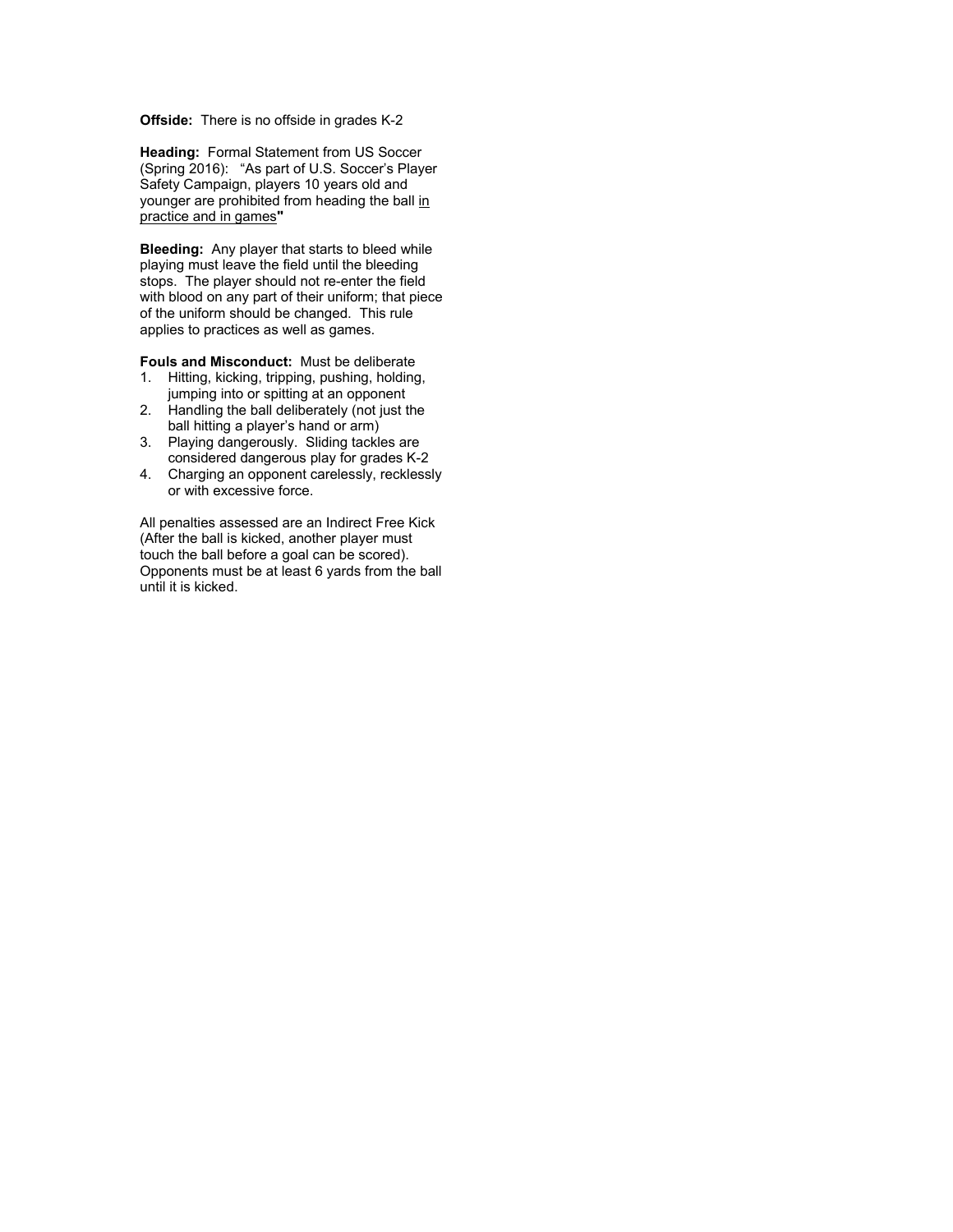#### **Offside:** There is no offside in grades K-2

**Heading:** Formal Statement from US Soccer (Spring 2016): "As part of U.S. Soccer's Player Safety Campaign, players 10 years old and younger are prohibited from heading the ball in practice and in games**"**

**Bleeding:** Any player that starts to bleed while playing must leave the field until the bleeding stops. The player should not re-enter the field with blood on any part of their uniform; that piece of the uniform should be changed. This rule applies to practices as well as games.

**Fouls and Misconduct:** Must be deliberate

- 1. Hitting, kicking, tripping, pushing, holding, jumping into or spitting at an opponent
- 2. Handling the ball deliberately (not just the ball hitting a player's hand or arm)
- 3. Playing dangerously. Sliding tackles are considered dangerous play for grades K-2
- 4. Charging an opponent carelessly, recklessly or with excessive force.

All penalties assessed are an Indirect Free Kick (After the ball is kicked, another player must touch the ball before a goal can be scored). Opponents must be at least 6 yards from the ball until it is kicked.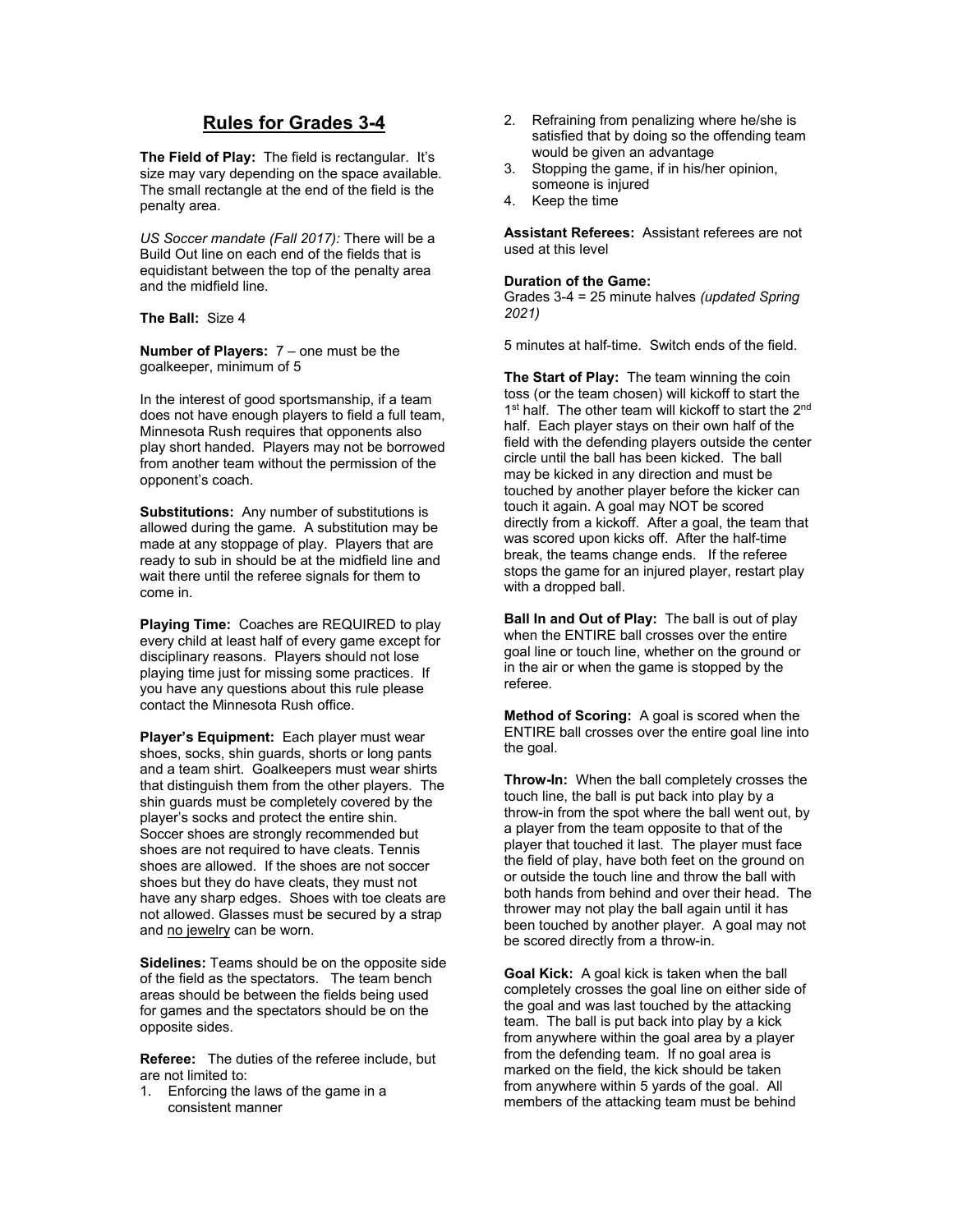## **Rules for Grades 3-4**

**The Field of Play:** The field is rectangular. It's size may vary depending on the space available. The small rectangle at the end of the field is the penalty area.

*US Soccer mandate (Fall 2017):* There will be a Build Out line on each end of the fields that is equidistant between the top of the penalty area and the midfield line.

**The Ball:** Size 4

**Number of Players:** 7 – one must be the goalkeeper, minimum of 5

In the interest of good sportsmanship, if a team does not have enough players to field a full team, Minnesota Rush requires that opponents also play short handed. Players may not be borrowed from another team without the permission of the opponent's coach.

**Substitutions:** Any number of substitutions is allowed during the game. A substitution may be made at any stoppage of play. Players that are ready to sub in should be at the midfield line and wait there until the referee signals for them to come in.

**Playing Time:** Coaches are REQUIRED to play every child at least half of every game except for disciplinary reasons. Players should not lose playing time just for missing some practices. If you have any questions about this rule please contact the Minnesota Rush office.

**Player's Equipment:** Each player must wear shoes, socks, shin guards, shorts or long pants and a team shirt. Goalkeepers must wear shirts that distinguish them from the other players. The shin guards must be completely covered by the player's socks and protect the entire shin. Soccer shoes are strongly recommended but shoes are not required to have cleats. Tennis shoes are allowed. If the shoes are not soccer shoes but they do have cleats, they must not have any sharp edges. Shoes with toe cleats are not allowed. Glasses must be secured by a strap and no jewelry can be worn.

**Sidelines:** Teams should be on the opposite side of the field as the spectators. The team bench areas should be between the fields being used for games and the spectators should be on the opposite sides.

**Referee:** The duties of the referee include, but are not limited to:

1. Enforcing the laws of the game in a consistent manner

- 2. Refraining from penalizing where he/she is satisfied that by doing so the offending team would be given an advantage
- 3. Stopping the game, if in his/her opinion, someone is injured
- 4. Keep the time

**Assistant Referees:** Assistant referees are not used at this level

### **Duration of the Game:**

Grades 3-4 = 25 minute halves *(updated Spring 2021)*

5 minutes at half-time. Switch ends of the field.

**The Start of Play:** The team winning the coin toss (or the team chosen) will kickoff to start the 1<sup>st</sup> half. The other team will kickoff to start the 2<sup>nd</sup> half. Each player stays on their own half of the field with the defending players outside the center circle until the ball has been kicked. The ball may be kicked in any direction and must be touched by another player before the kicker can touch it again. A goal may NOT be scored directly from a kickoff. After a goal, the team that was scored upon kicks off. After the half-time break, the teams change ends. If the referee stops the game for an injured player, restart play with a dropped ball.

**Ball In and Out of Play:** The ball is out of play when the ENTIRE ball crosses over the entire goal line or touch line, whether on the ground or in the air or when the game is stopped by the referee.

**Method of Scoring:** A goal is scored when the ENTIRE ball crosses over the entire goal line into the goal.

**Throw-In:** When the ball completely crosses the touch line, the ball is put back into play by a throw-in from the spot where the ball went out, by a player from the team opposite to that of the player that touched it last. The player must face the field of play, have both feet on the ground on or outside the touch line and throw the ball with both hands from behind and over their head. The thrower may not play the ball again until it has been touched by another player. A goal may not be scored directly from a throw-in.

**Goal Kick:** A goal kick is taken when the ball completely crosses the goal line on either side of the goal and was last touched by the attacking team. The ball is put back into play by a kick from anywhere within the goal area by a player from the defending team. If no goal area is marked on the field, the kick should be taken from anywhere within 5 yards of the goal. All members of the attacking team must be behind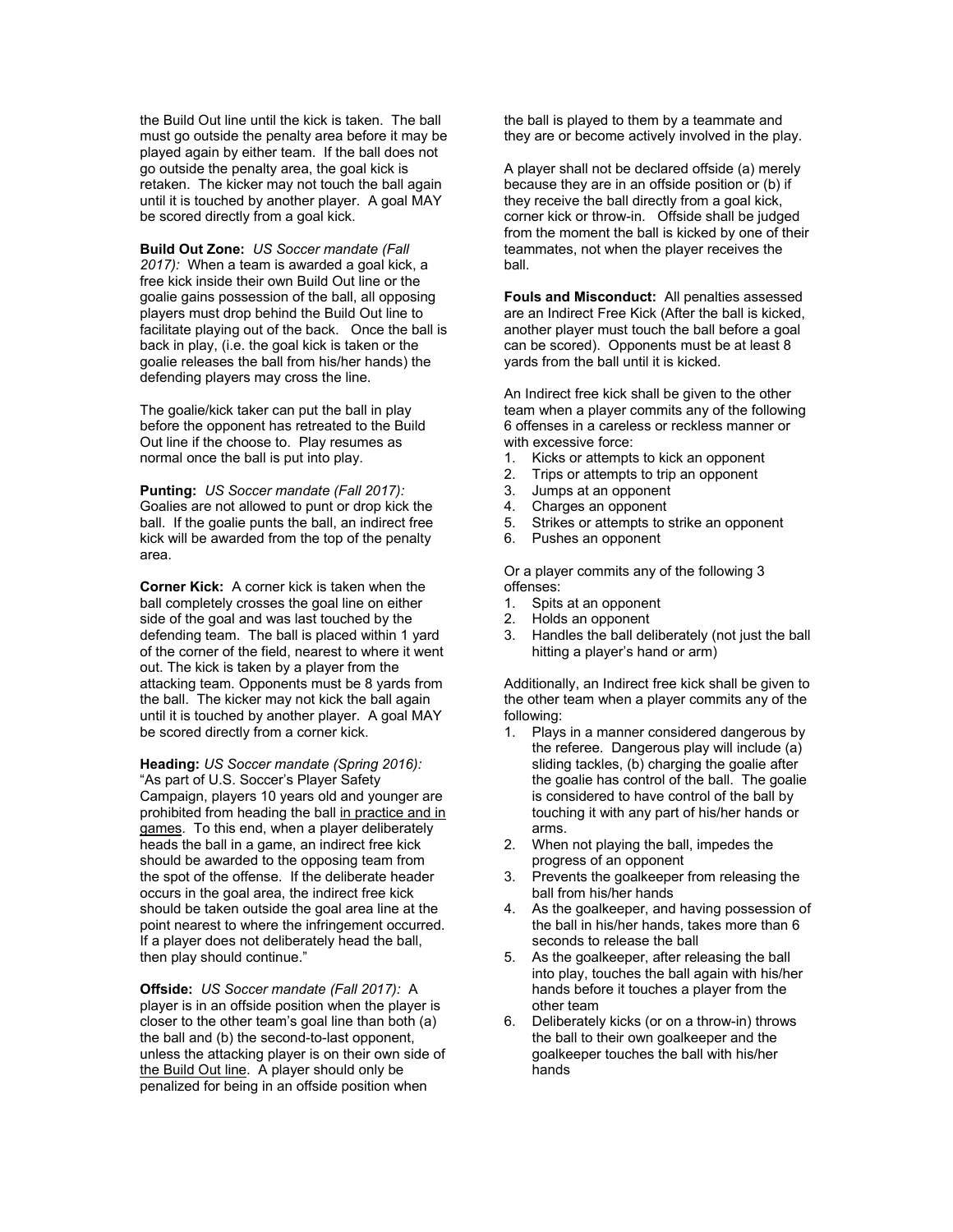the Build Out line until the kick is taken. The ball must go outside the penalty area before it may be played again by either team. If the ball does not go outside the penalty area, the goal kick is retaken. The kicker may not touch the ball again until it is touched by another player. A goal MAY be scored directly from a goal kick.

**Build Out Zone:** *US Soccer mandate (Fall 2017):* When a team is awarded a goal kick, a free kick inside their own Build Out line or the goalie gains possession of the ball, all opposing players must drop behind the Build Out line to facilitate playing out of the back. Once the ball is back in play, (i.e. the goal kick is taken or the goalie releases the ball from his/her hands) the defending players may cross the line.

The goalie/kick taker can put the ball in play before the opponent has retreated to the Build Out line if the choose to. Play resumes as normal once the ball is put into play.

**Punting:** *US Soccer mandate (Fall 2017):*  Goalies are not allowed to punt or drop kick the ball. If the goalie punts the ball, an indirect free kick will be awarded from the top of the penalty area.

**Corner Kick:** A corner kick is taken when the ball completely crosses the goal line on either side of the goal and was last touched by the defending team. The ball is placed within 1 yard of the corner of the field, nearest to where it went out. The kick is taken by a player from the attacking team. Opponents must be 8 yards from the ball. The kicker may not kick the ball again until it is touched by another player. A goal MAY be scored directly from a corner kick.

**Heading:** *US Soccer mandate (Spring 2016):* "As part of U.S. Soccer's Player Safety Campaign, players 10 years old and younger are prohibited from heading the ball in practice and in games. To this end, when a player deliberately heads the ball in a game, an indirect free kick should be awarded to the opposing team from the spot of the offense. If the deliberate header occurs in the goal area, the indirect free kick should be taken outside the goal area line at the point nearest to where the infringement occurred. If a player does not deliberately head the ball, then play should continue."

**Offside:** *US Soccer mandate (Fall 2017):* A player is in an offside position when the player is closer to the other team's goal line than both (a) the ball and (b) the second-to-last opponent, unless the attacking player is on their own side of the Build Out line. A player should only be penalized for being in an offside position when

the ball is played to them by a teammate and they are or become actively involved in the play.

A player shall not be declared offside (a) merely because they are in an offside position or (b) if they receive the ball directly from a goal kick, corner kick or throw-in. Offside shall be judged from the moment the ball is kicked by one of their teammates, not when the player receives the ball.

**Fouls and Misconduct:** All penalties assessed are an Indirect Free Kick (After the ball is kicked, another player must touch the ball before a goal can be scored). Opponents must be at least 8 yards from the ball until it is kicked.

An Indirect free kick shall be given to the other team when a player commits any of the following 6 offenses in a careless or reckless manner or with excessive force:

- 1. Kicks or attempts to kick an opponent
- 2. Trips or attempts to trip an opponent
- 3. Jumps at an opponent
- 4. Charges an opponent<br>5. Strikes or attempts to s
- 5. Strikes or attempts to strike an opponent<br>6. Pushes an opponent
- Pushes an opponent

Or a player commits any of the following 3 offenses:

- 1. Spits at an opponent
- 2. Holds an opponent
- 3. Handles the ball deliberately (not just the ball hitting a player's hand or arm)

Additionally, an Indirect free kick shall be given to the other team when a player commits any of the following:

- 1. Plays in a manner considered dangerous by the referee. Dangerous play will include (a) sliding tackles, (b) charging the goalie after the goalie has control of the ball. The goalie is considered to have control of the ball by touching it with any part of his/her hands or arms.
- 2. When not playing the ball, impedes the progress of an opponent
- 3. Prevents the goalkeeper from releasing the ball from his/her hands
- 4. As the goalkeeper, and having possession of the ball in his/her hands, takes more than 6 seconds to release the ball
- 5. As the goalkeeper, after releasing the ball into play, touches the ball again with his/her hands before it touches a player from the other team
- 6. Deliberately kicks (or on a throw-in) throws the ball to their own goalkeeper and the goalkeeper touches the ball with his/her hands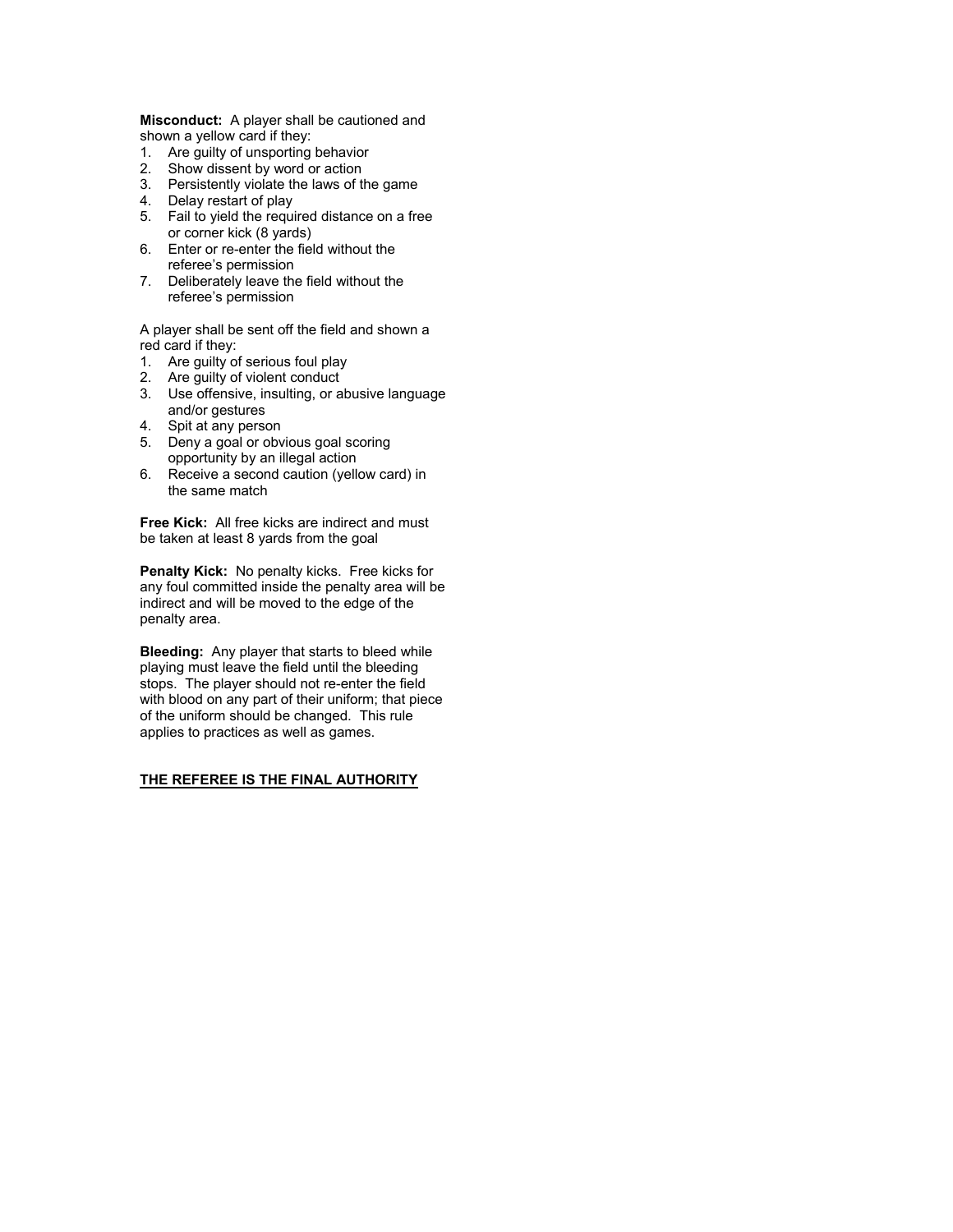**Misconduct:** A player shall be cautioned and shown a yellow card if they:

- 1. Are guilty of unsporting behavior
- 2. Show dissent by word or action
- 3. Persistently violate the laws of the game
- 4. Delay restart of play
- 5. Fail to yield the required distance on a free or corner kick (8 yards)
- 6. Enter or re-enter the field without the referee's permission
- 7. Deliberately leave the field without the referee's permission

A player shall be sent off the field and shown a red card if they:

- 1. Are guilty of serious foul play
- 2. Are guilty of violent conduct
- 3. Use offensive, insulting, or abusive language and/or gestures
- 4. Spit at any person
- 5. Deny a goal or obvious goal scoring opportunity by an illegal action
- 6. Receive a second caution (yellow card) in the same match

**Free Kick:** All free kicks are indirect and must be taken at least 8 yards from the goal

**Penalty Kick:** No penalty kicks. Free kicks for any foul committed inside the penalty area will be indirect and will be moved to the edge of the penalty area.

**Bleeding:** Any player that starts to bleed while playing must leave the field until the bleeding stops. The player should not re-enter the field with blood on any part of their uniform; that piece of the uniform should be changed. This rule applies to practices as well as games.

#### **THE REFEREE IS THE FINAL AUTHORITY**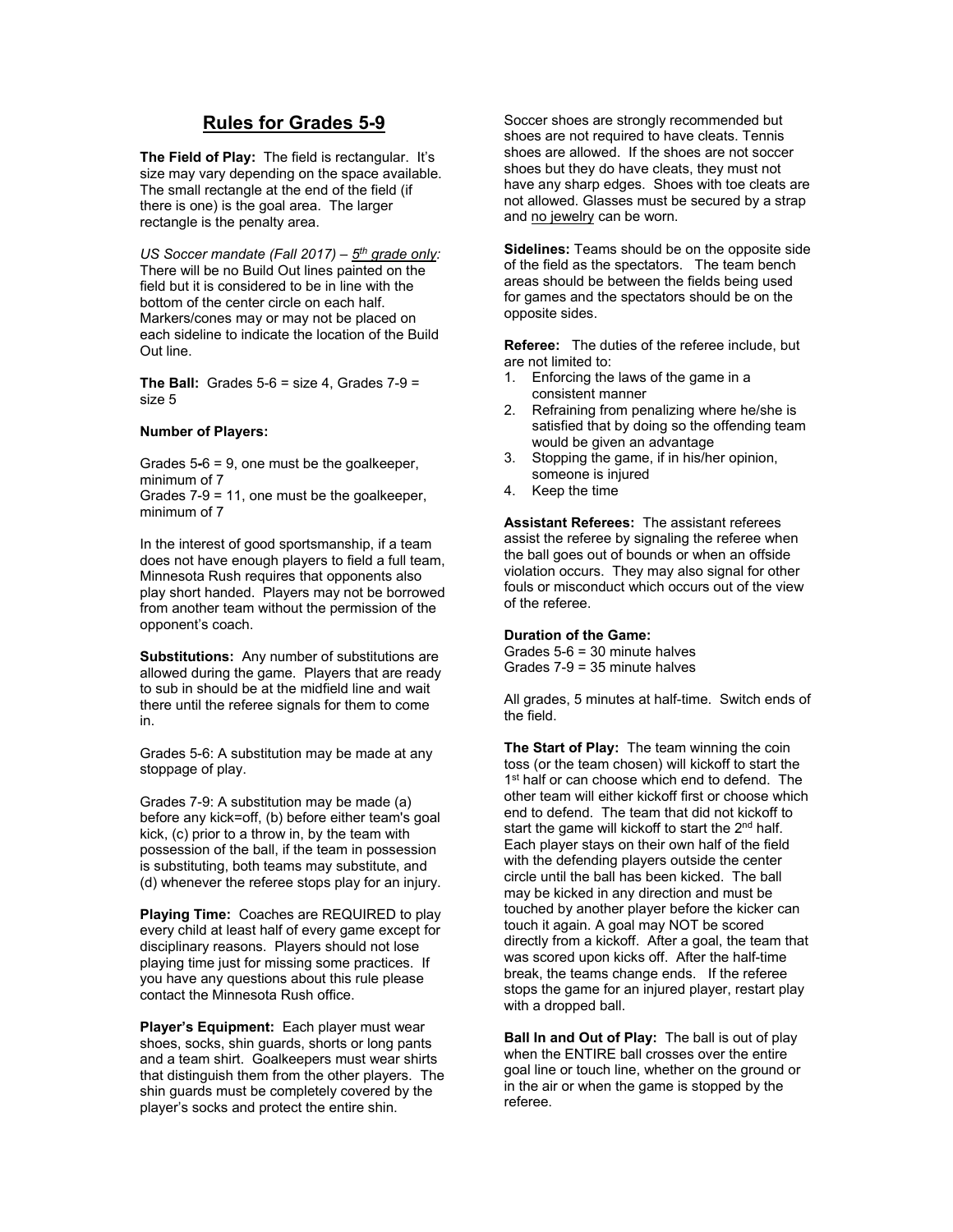## **Rules for Grades 5-9**

**The Field of Play:** The field is rectangular. It's size may vary depending on the space available. The small rectangle at the end of the field (if there is one) is the goal area. The larger rectangle is the penalty area.

*US Soccer mandate (Fall 2017) – 5th grade only:*  There will be no Build Out lines painted on the field but it is considered to be in line with the bottom of the center circle on each half. Markers/cones may or may not be placed on each sideline to indicate the location of the Build Out line.

**The Ball:** Grades  $5-6$  = size 4, Grades  $7-9$  = size 5

#### **Number of Players:**

Grades 5**-**6 = 9, one must be the goalkeeper, minimum of 7

Grades 7-9 = 11, one must be the goalkeeper, minimum of 7

In the interest of good sportsmanship, if a team does not have enough players to field a full team, Minnesota Rush requires that opponents also play short handed. Players may not be borrowed from another team without the permission of the opponent's coach.

**Substitutions:** Any number of substitutions are allowed during the game. Players that are ready to sub in should be at the midfield line and wait there until the referee signals for them to come in.

Grades 5-6: A substitution may be made at any stoppage of play.

Grades 7-9: A substitution may be made (a) before any kick=off, (b) before either team's goal kick, (c) prior to a throw in, by the team with possession of the ball, if the team in possession is substituting, both teams may substitute, and (d) whenever the referee stops play for an injury.

**Playing Time:** Coaches are REQUIRED to play every child at least half of every game except for disciplinary reasons. Players should not lose playing time just for missing some practices. If you have any questions about this rule please contact the Minnesota Rush office.

**Player's Equipment:** Each player must wear shoes, socks, shin guards, shorts or long pants and a team shirt. Goalkeepers must wear shirts that distinguish them from the other players. The shin guards must be completely covered by the player's socks and protect the entire shin.

Soccer shoes are strongly recommended but shoes are not required to have cleats. Tennis shoes are allowed. If the shoes are not soccer shoes but they do have cleats, they must not have any sharp edges. Shoes with toe cleats are not allowed. Glasses must be secured by a strap and no jewelry can be worn.

**Sidelines:** Teams should be on the opposite side of the field as the spectators. The team bench areas should be between the fields being used for games and the spectators should be on the opposite sides.

**Referee:** The duties of the referee include, but are not limited to:

- 1. Enforcing the laws of the game in a consistent manner
- 2. Refraining from penalizing where he/she is satisfied that by doing so the offending team would be given an advantage
- 3. Stopping the game, if in his/her opinion, someone is injured
- 4. Keep the time

**Assistant Referees:** The assistant referees assist the referee by signaling the referee when the ball goes out of bounds or when an offside violation occurs. They may also signal for other fouls or misconduct which occurs out of the view of the referee.

#### **Duration of the Game:**

Grades 5-6 = 30 minute halves Grades 7-9 = 35 minute halves

All grades, 5 minutes at half-time. Switch ends of the field.

**The Start of Play:** The team winning the coin toss (or the team chosen) will kickoff to start the 1<sup>st</sup> half or can choose which end to defend. The other team will either kickoff first or choose which end to defend. The team that did not kickoff to start the game will kickoff to start the 2<sup>nd</sup> half. Each player stays on their own half of the field with the defending players outside the center circle until the ball has been kicked. The ball may be kicked in any direction and must be touched by another player before the kicker can touch it again. A goal may NOT be scored directly from a kickoff. After a goal, the team that was scored upon kicks off. After the half-time break, the teams change ends. If the referee stops the game for an injured player, restart play with a dropped ball.

**Ball In and Out of Play:** The ball is out of play when the ENTIRE ball crosses over the entire goal line or touch line, whether on the ground or in the air or when the game is stopped by the referee.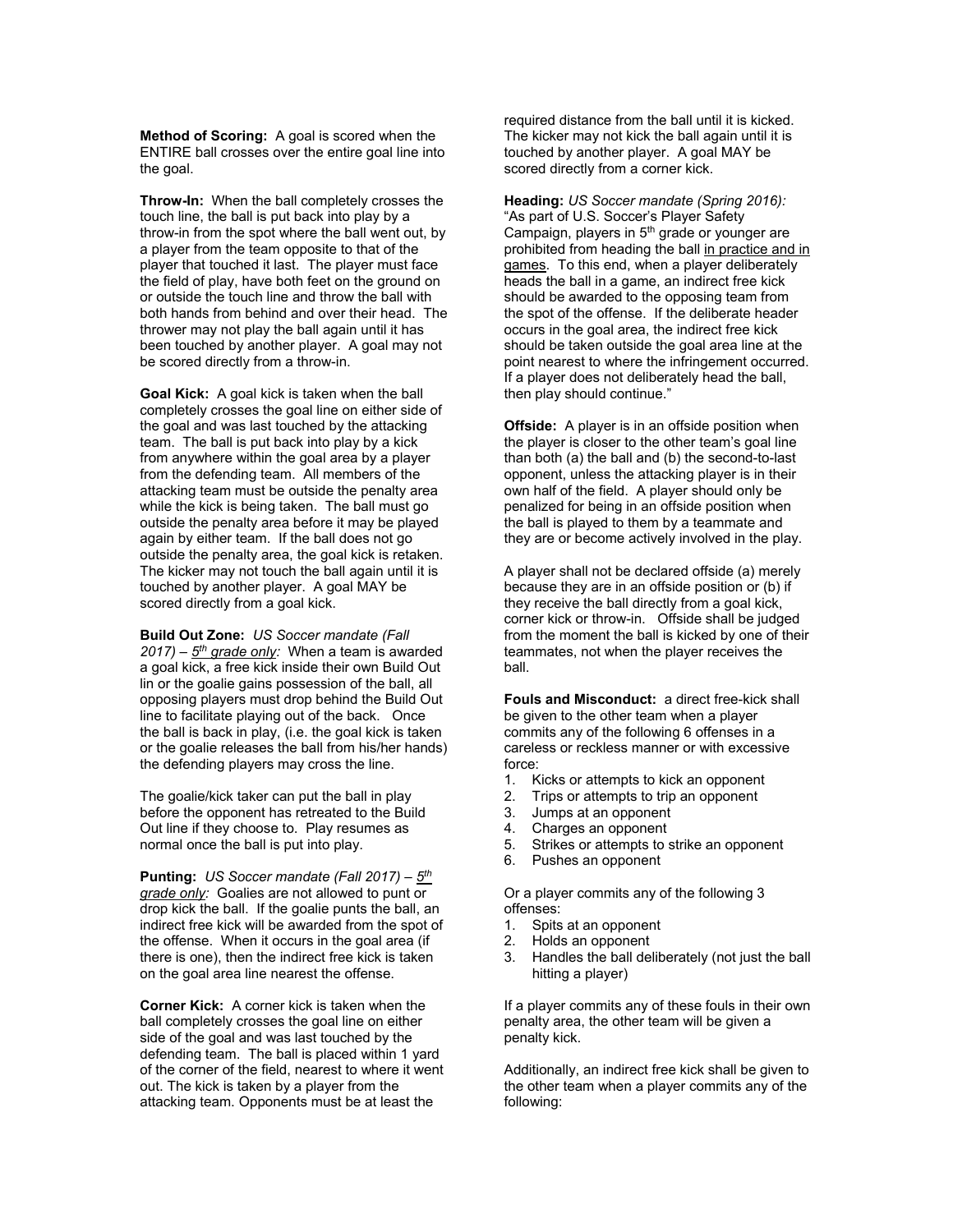**Method of Scoring:** A goal is scored when the ENTIRE ball crosses over the entire goal line into the goal.

**Throw-In:** When the ball completely crosses the touch line, the ball is put back into play by a throw-in from the spot where the ball went out, by a player from the team opposite to that of the player that touched it last. The player must face the field of play, have both feet on the ground on or outside the touch line and throw the ball with both hands from behind and over their head. The thrower may not play the ball again until it has been touched by another player. A goal may not be scored directly from a throw-in.

**Goal Kick:** A goal kick is taken when the ball completely crosses the goal line on either side of the goal and was last touched by the attacking team. The ball is put back into play by a kick from anywhere within the goal area by a player from the defending team. All members of the attacking team must be outside the penalty area while the kick is being taken. The ball must go outside the penalty area before it may be played again by either team. If the ball does not go outside the penalty area, the goal kick is retaken. The kicker may not touch the ball again until it is touched by another player. A goal MAY be scored directly from a goal kick.

**Build Out Zone:** *US Soccer mandate (Fall 2017) – 5th grade only:* When a team is awarded a goal kick, a free kick inside their own Build Out lin or the goalie gains possession of the ball, all opposing players must drop behind the Build Out line to facilitate playing out of the back. Once the ball is back in play, (i.e. the goal kick is taken or the goalie releases the ball from his/her hands) the defending players may cross the line.

The goalie/kick taker can put the ball in play before the opponent has retreated to the Build Out line if they choose to. Play resumes as normal once the ball is put into play.

**Punting:** *US Soccer mandate (Fall 2017) – 5th grade only:* Goalies are not allowed to punt or drop kick the ball. If the goalie punts the ball, an indirect free kick will be awarded from the spot of the offense. When it occurs in the goal area (if there is one), then the indirect free kick is taken on the goal area line nearest the offense.

**Corner Kick:** A corner kick is taken when the ball completely crosses the goal line on either side of the goal and was last touched by the defending team. The ball is placed within 1 yard of the corner of the field, nearest to where it went out. The kick is taken by a player from the attacking team. Opponents must be at least the

required distance from the ball until it is kicked. The kicker may not kick the ball again until it is touched by another player. A goal MAY be scored directly from a corner kick.

**Heading:** *US Soccer mandate (Spring 2016):* "As part of U.S. Soccer's Player Safety Campaign, players in  $5<sup>th</sup>$  grade or younger are prohibited from heading the ball in practice and in games. To this end, when a player deliberately heads the ball in a game, an indirect free kick should be awarded to the opposing team from the spot of the offense. If the deliberate header occurs in the goal area, the indirect free kick should be taken outside the goal area line at the point nearest to where the infringement occurred. If a player does not deliberately head the ball, then play should continue."

**Offside:** A player is in an offside position when the player is closer to the other team's goal line than both (a) the ball and (b) the second-to-last opponent, unless the attacking player is in their own half of the field. A player should only be penalized for being in an offside position when the ball is played to them by a teammate and they are or become actively involved in the play.

A player shall not be declared offside (a) merely because they are in an offside position or (b) if they receive the ball directly from a goal kick, corner kick or throw-in. Offside shall be judged from the moment the ball is kicked by one of their teammates, not when the player receives the ball.

**Fouls and Misconduct:** a direct free-kick shall be given to the other team when a player commits any of the following 6 offenses in a careless or reckless manner or with excessive force:

- 1. Kicks or attempts to kick an opponent
- 2. Trips or attempts to trip an opponent
- 3. Jumps at an opponent
- 
- 4. Charges an opponent<br>5. Strikes or attempts to s Strikes or attempts to strike an opponent
- 6. Pushes an opponent

Or a player commits any of the following 3 offenses:<br>1. Spits

- Spits at an opponent
- 2. Holds an opponent
- 3. Handles the ball deliberately (not just the ball hitting a player)

If a player commits any of these fouls in their own penalty area, the other team will be given a penalty kick.

Additionally, an indirect free kick shall be given to the other team when a player commits any of the following: